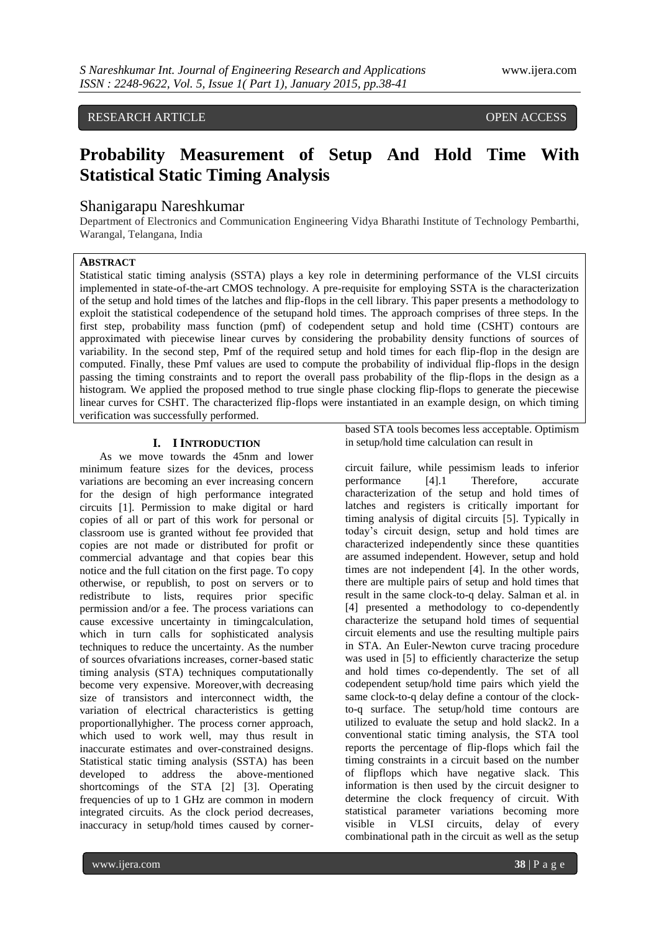# RESEARCH ARTICLE OPEN ACCESS

# **Probability Measurement of Setup And Hold Time With Statistical Static Timing Analysis**

## Shanigarapu Nareshkumar

Department of Electronics and Communication Engineering Vidya Bharathi Institute of Technology Pembarthi, Warangal, Telangana, India

## **ABSTRACT**

Statistical static timing analysis (SSTA) plays a key role in determining performance of the VLSI circuits implemented in state-of-the-art CMOS technology. A pre-requisite for employing SSTA is the characterization of the setup and hold times of the latches and flip-flops in the cell library. This paper presents a methodology to exploit the statistical codependence of the setupand hold times. The approach comprises of three steps. In the first step, probability mass function (pmf) of codependent setup and hold time (CSHT) contours are approximated with piecewise linear curves by considering the probability density functions of sources of variability. In the second step, Pmf of the required setup and hold times for each flip-flop in the design are computed. Finally, these Pmf values are used to compute the probability of individual flip-flops in the design passing the timing constraints and to report the overall pass probability of the flip-flops in the design as a histogram. We applied the proposed method to true single phase clocking flip-flops to generate the piecewise linear curves for CSHT. The characterized flip-flops were instantiated in an example design, on which timing verification was successfully performed.

#### **I. I INTRODUCTION**

As we move towards the 45nm and lower minimum feature sizes for the devices, process variations are becoming an ever increasing concern for the design of high performance integrated circuits [1]. Permission to make digital or hard copies of all or part of this work for personal or classroom use is granted without fee provided that copies are not made or distributed for profit or commercial advantage and that copies bear this notice and the full citation on the first page. To copy otherwise, or republish, to post on servers or to redistribute to lists, requires prior specific permission and/or a fee. The process variations can cause excessive uncertainty in timingcalculation, which in turn calls for sophisticated analysis techniques to reduce the uncertainty. As the number of sources ofvariations increases, corner-based static timing analysis (STA) techniques computationally become very expensive. Moreover,with decreasing size of transistors and interconnect width, the variation of electrical characteristics is getting proportionallyhigher. The process corner approach, which used to work well, may thus result in inaccurate estimates and over-constrained designs. Statistical static timing analysis (SSTA) has been developed to address the above-mentioned shortcomings of the STA [2] [3]. Operating frequencies of up to 1 GHz are common in modern integrated circuits. As the clock period decreases, inaccuracy in setup/hold times caused by cornerbased STA tools becomes less acceptable. Optimism in setup/hold time calculation can result in

circuit failure, while pessimism leads to inferior performance [4].1 Therefore, accurate characterization of the setup and hold times of latches and registers is critically important for timing analysis of digital circuits [5]. Typically in today's circuit design, setup and hold times are characterized independently since these quantities are assumed independent. However, setup and hold times are not independent [4]. In the other words, there are multiple pairs of setup and hold times that result in the same clock-to-q delay. Salman et al. in [4] presented a methodology to co-dependently characterize the setupand hold times of sequential circuit elements and use the resulting multiple pairs in STA. An Euler-Newton curve tracing procedure was used in [5] to efficiently characterize the setup and hold times co-dependently. The set of all codependent setup/hold time pairs which yield the same clock-to-q delay define a contour of the clockto-q surface. The setup/hold time contours are utilized to evaluate the setup and hold slack2. In a conventional static timing analysis, the STA tool reports the percentage of flip-flops which fail the timing constraints in a circuit based on the number of flipflops which have negative slack. This information is then used by the circuit designer to determine the clock frequency of circuit. With statistical parameter variations becoming more visible in VLSI circuits, delay of every combinational path in the circuit as well as the setup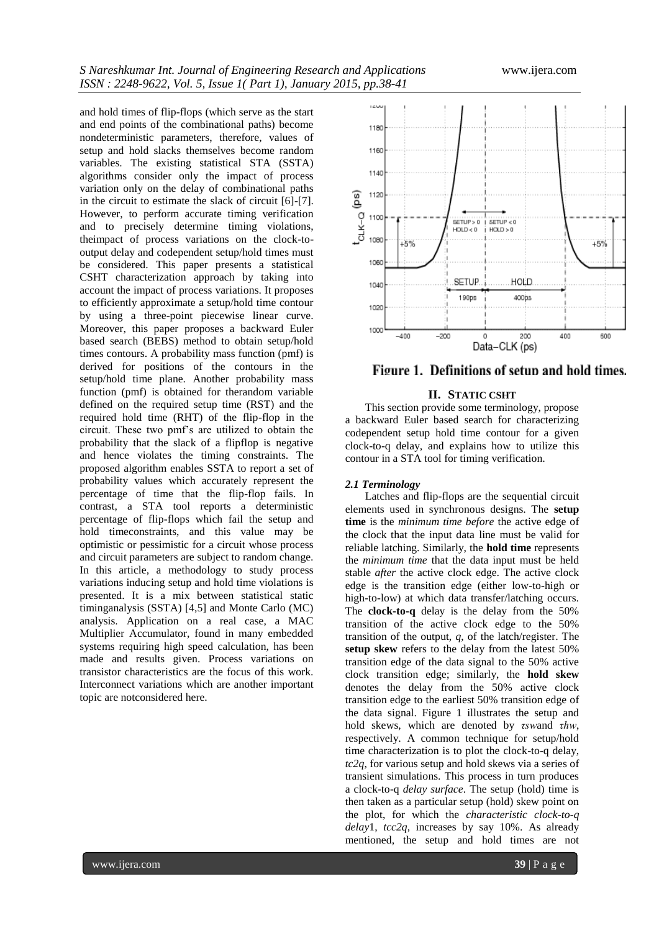and hold times of flip-flops (which serve as the start and end points of the combinational paths) become nondeterministic parameters, therefore, values of setup and hold slacks themselves become random variables. The existing statistical STA (SSTA) algorithms consider only the impact of process variation only on the delay of combinational paths in the circuit to estimate the slack of circuit [6]-[7]. However, to perform accurate timing verification and to precisely determine timing violations, theimpact of process variations on the clock-tooutput delay and codependent setup/hold times must be considered. This paper presents a statistical CSHT characterization approach by taking into account the impact of process variations. It proposes to efficiently approximate a setup/hold time contour by using a three-point piecewise linear curve. Moreover, this paper proposes a backward Euler based search (BEBS) method to obtain setup/hold times contours. A probability mass function (pmf) is derived for positions of the contours in the setup/hold time plane. Another probability mass function (pmf) is obtained for therandom variable defined on the required setup time (RST) and the required hold time (RHT) of the flip-flop in the circuit. These two pmf's are utilized to obtain the probability that the slack of a flipflop is negative and hence violates the timing constraints. The proposed algorithm enables SSTA to report a set of probability values which accurately represent the percentage of time that the flip-flop fails. In contrast, a STA tool reports a deterministic percentage of flip-flops which fail the setup and hold timeconstraints, and this value may be optimistic or pessimistic for a circuit whose process and circuit parameters are subject to random change. In this article, a methodology to study process variations inducing setup and hold time violations is presented. It is a mix between statistical static timinganalysis (SSTA) [4,5] and Monte Carlo (MC) analysis. Application on a real case, a MAC Multiplier Accumulator, found in many embedded systems requiring high speed calculation, has been made and results given. Process variations on transistor characteristics are the focus of this work. Interconnect variations which are another important topic are notconsidered here.





#### **II. STATIC CSHT**

This section provide some terminology, propose a backward Euler based search for characterizing codependent setup hold time contour for a given clock-to-q delay, and explains how to utilize this contour in a STA tool for timing verification.

#### *2.1 Terminology*

Latches and flip-flops are the sequential circuit elements used in synchronous designs. The **setup time** is the *minimum time before* the active edge of the clock that the input data line must be valid for reliable latching. Similarly, the **hold time** represents the *minimum time* that the data input must be held stable *after* the active clock edge. The active clock edge is the transition edge (either low-to-high or high-to-low) at which data transfer/latching occurs. The **clock-to-q** delay is the delay from the 50% transition of the active clock edge to the 50% transition of the output, *q*, of the latch/register. The **setup skew** refers to the delay from the latest 50% transition edge of the data signal to the 50% active clock transition edge; similarly, the **hold skew**  denotes the delay from the 50% active clock transition edge to the earliest 50% transition edge of the data signal. Figure 1 illustrates the setup and hold skews, which are denoted by *τsw*and *τhw*, respectively. A common technique for setup/hold time characterization is to plot the clock-to-q delay, *tc2q*, for various setup and hold skews via a series of transient simulations. This process in turn produces a clock-to-q *delay surface*. The setup (hold) time is then taken as a particular setup (hold) skew point on the plot, for which the *characteristic clock-to-q delay*1, *tcc2q*, increases by say 10%. As already mentioned, the setup and hold times are not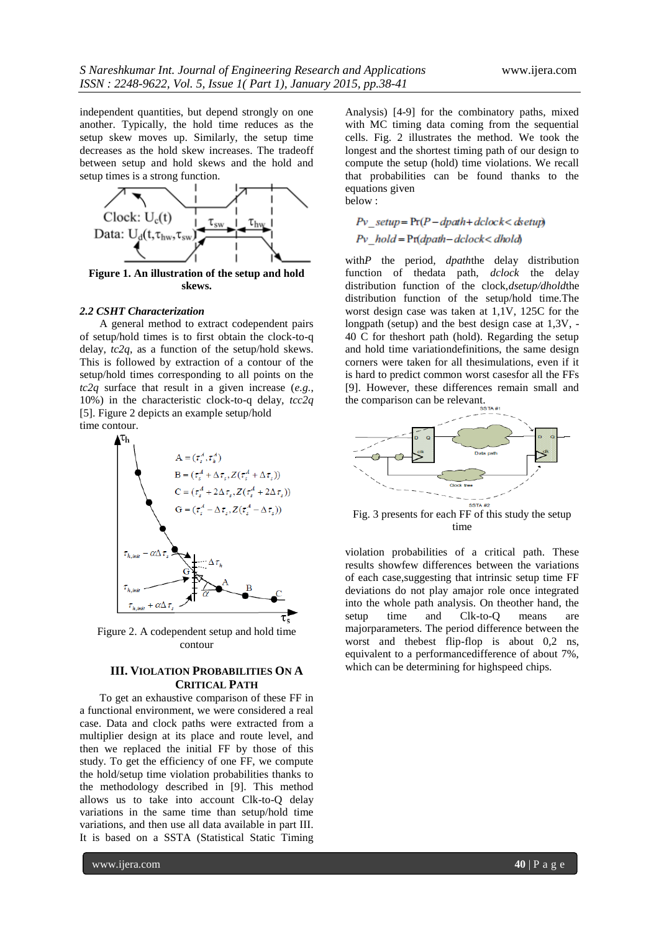independent quantities, but depend strongly on one another. Typically, the hold time reduces as the setup skew moves up. Similarly, the setup time decreases as the hold skew increases. The tradeoff between setup and hold skews and the hold and setup times is a strong function.



**skews.**

#### *2.2 CSHT Characterization*

A general method to extract codependent pairs of setup/hold times is to first obtain the clock-to-q delay, *tc2q*, as a function of the setup/hold skews. This is followed by extraction of a contour of the setup/hold times corresponding to all points on the *tc2q* surface that result in a given increase (*e.g.*, 10%) in the characteristic clock-to-q delay*, tcc2q*  [5]. Figure 2 depicts an example setup/hold time contour.



Figure 2. A codependent setup and hold time contour

### **III. VIOLATION PROBABILITIES ON A CRITICAL PATH**

To get an exhaustive comparison of these FF in a functional environment, we were considered a real case. Data and clock paths were extracted from a multiplier design at its place and route level, and then we replaced the initial FF by those of this study. To get the efficiency of one FF, we compute the hold/setup time violation probabilities thanks to the methodology described in [9]. This method allows us to take into account Clk-to-Q delay variations in the same time than setup/hold time variations, and then use all data available in part III. It is based on a SSTA (Statistical Static Timing

Analysis) [4-9] for the combinatory paths, mixed with MC timing data coming from the sequential cells. Fig. 2 illustrates the method. We took the longest and the shortest timing path of our design to compute the setup (hold) time violations. We recall that probabilities can be found thanks to the equations given below :

## $Pv$  setup =  $Pr(P - dpath + dclock <$  detup)  $Pv$  hold =  $Pr(dpath - dclock < dhold)$

with*P* the period, *dpath*the delay distribution function of thedata path, *dclock* the delay distribution function of the clock,*dsetup/dhold*the distribution function of the setup/hold time.The worst design case was taken at 1,1V, 125C for the longpath (setup) and the best design case at 1,3V, - 40 C for theshort path (hold). Regarding the setup and hold time variationdefinitions, the same design corners were taken for all thesimulations, even if it is hard to predict common worst casesfor all the FFs [9]. However, these differences remain small and the comparison can be relevant.



Fig. 3 presents for each FF of this study the setup time

violation probabilities of a critical path. These results showfew differences between the variations of each case,suggesting that intrinsic setup time FF deviations do not play amajor role once integrated into the whole path analysis. On theother hand, the setup time and Clk-to-Q means are majorparameters. The period difference between the worst and thebest flip-flop is about 0,2 ns, equivalent to a performancedifference of about 7%, which can be determining for highspeed chips.